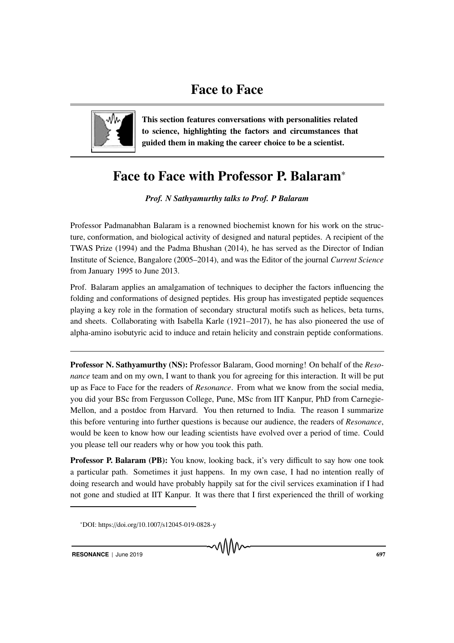

This section features conversations with personalities related to science, highlighting the factors and circumstances that guided them in making the career choice to be a scientist.

## Face to Face with Professor P. Balaram<sup>∗</sup>

*Prof. N Sathyamurthy talks to Prof. P Balaram*

Professor Padmanabhan Balaram is a renowned biochemist known for his work on the structure, conformation, and biological activity of designed and natural peptides. A recipient of the TWAS Prize (1994) and the Padma Bhushan (2014), he has served as the Director of Indian Institute of Science, Bangalore (2005–2014), and was the Editor of the journal *Current Science* from January 1995 to June 2013.

Prof. Balaram applies an amalgamation of techniques to decipher the factors influencing the folding and conformations of designed peptides. His group has investigated peptide sequences playing a key role in the formation of secondary structural motifs such as helices, beta turns, and sheets. Collaborating with Isabella Karle (1921–2017), he has also pioneered the use of alpha-amino isobutyric acid to induce and retain helicity and constrain peptide conformations.

Professor N. Sathyamurthy (NS): Professor Balaram, Good morning! On behalf of the *Resonance* team and on my own, I want to thank you for agreeing for this interaction. It will be put up as Face to Face for the readers of *Resonance*. From what we know from the social media, you did your BSc from Fergusson College, Pune, MSc from IIT Kanpur, PhD from Carnegie-Mellon, and a postdoc from Harvard. You then returned to India. The reason I summarize this before venturing into further questions is because our audience, the readers of *Resonance*, would be keen to know how our leading scientists have evolved over a period of time. Could you please tell our readers why or how you took this path.

Professor P. Balaram (PB): You know, looking back, it's very difficult to say how one took a particular path. Sometimes it just happens. In my own case, I had no intention really of doing research and would have probably happily sat for the civil services examination if I had not gone and studied at IIT Kanpur. It was there that I first experienced the thrill of working

<sup>∗</sup>DOI: https://doi.org/10.1007/s12045-019-0828-y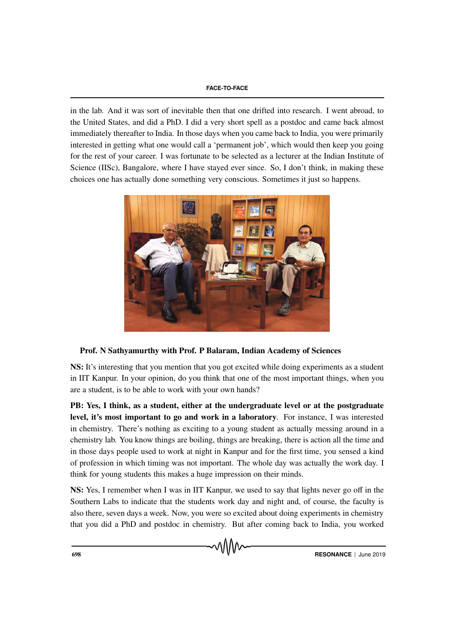in the lab. And it was sort of inevitable then that one drifted into research. I went abroad, to the United States, and did a PhD. I did a very short spell as a postdoc and came back almost immediately thereafter to India. In those days when you came back to India, you were primarily interested in getting what one would call a 'permanent job', which would then keep you going for the rest of your career. I was fortunate to be selected as a lecturer at the Indian Institute of Science (IISc), Bangalore, where I have stayed ever since. So, I don't think, in making these choices one has actually done something very conscious. Sometimes it just so happens.



## Prof. N Sathyamurthy with Prof. P Balaram, Indian Academy of Sciences

NS: It's interesting that you mention that you got excited while doing experiments as a student in IIT Kanpur. In your opinion, do you think that one of the most important things, when you are a student, is to be able to work with your own hands?

PB: Yes, I think, as a student, either at the undergraduate level or at the postgraduate level, it's most important to go and work in a laboratory. For instance, I was interested in chemistry. There's nothing as exciting to a young student as actually messing around in a chemistry lab. You know things are boiling, things are breaking, there is action all the time and in those days people used to work at night in Kanpur and for the first time, you sensed a kind of profession in which timing was not important. The whole day was actually the work day. I think for young students this makes a huge impression on their minds.

NS: Yes, I remember when I was in IIT Kanpur, we used to say that lights never go off in the Southern Labs to indicate that the students work day and night and, of course, the faculty is also there, seven days a week. Now, you were so excited about doing experiments in chemistry that you did a PhD and postdoc in chemistry. But after coming back to India, you worked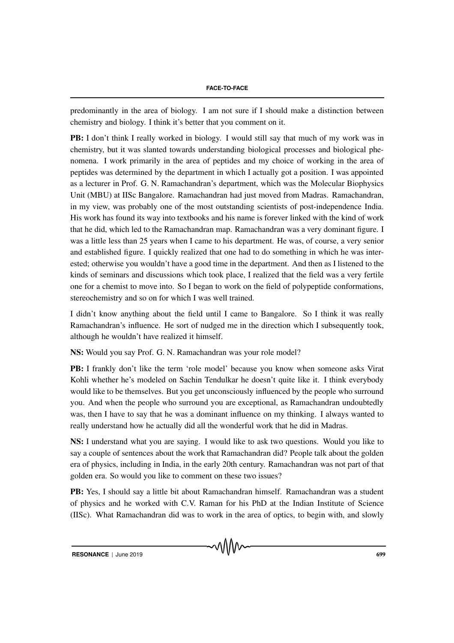predominantly in the area of biology. I am not sure if I should make a distinction between chemistry and biology. I think it's better that you comment on it.

PB: I don't think I really worked in biology. I would still say that much of my work was in chemistry, but it was slanted towards understanding biological processes and biological phenomena. I work primarily in the area of peptides and my choice of working in the area of peptides was determined by the department in which I actually got a position. I was appointed as a lecturer in Prof. G. N. Ramachandran's department, which was the Molecular Biophysics Unit (MBU) at IISc Bangalore. Ramachandran had just moved from Madras. Ramachandran, in my view, was probably one of the most outstanding scientists of post-independence India. His work has found its way into textbooks and his name is forever linked with the kind of work that he did, which led to the Ramachandran map. Ramachandran was a very dominant figure. I was a little less than 25 years when I came to his department. He was, of course, a very senior and established figure. I quickly realized that one had to do something in which he was interested; otherwise you wouldn't have a good time in the department. And then as I listened to the kinds of seminars and discussions which took place, I realized that the field was a very fertile one for a chemist to move into. So I began to work on the field of polypeptide conformations, stereochemistry and so on for which I was well trained.

I didn't know anything about the field until I came to Bangalore. So I think it was really Ramachandran's influence. He sort of nudged me in the direction which I subsequently took, although he wouldn't have realized it himself.

NS: Would you say Prof. G. N. Ramachandran was your role model?

PB: I frankly don't like the term 'role model' because you know when someone asks Virat Kohli whether he's modeled on Sachin Tendulkar he doesn't quite like it. I think everybody would like to be themselves. But you get unconsciously influenced by the people who surround you. And when the people who surround you are exceptional, as Ramachandran undoubtedly was, then I have to say that he was a dominant influence on my thinking. I always wanted to really understand how he actually did all the wonderful work that he did in Madras.

NS: I understand what you are saying. I would like to ask two questions. Would you like to say a couple of sentences about the work that Ramachandran did? People talk about the golden era of physics, including in India, in the early 20th century. Ramachandran was not part of that golden era. So would you like to comment on these two issues?

PB: Yes, I should say a little bit about Ramachandran himself. Ramachandran was a student of physics and he worked with C.V. Raman for his PhD at the Indian Institute of Science (IISc). What Ramachandran did was to work in the area of optics, to begin with, and slowly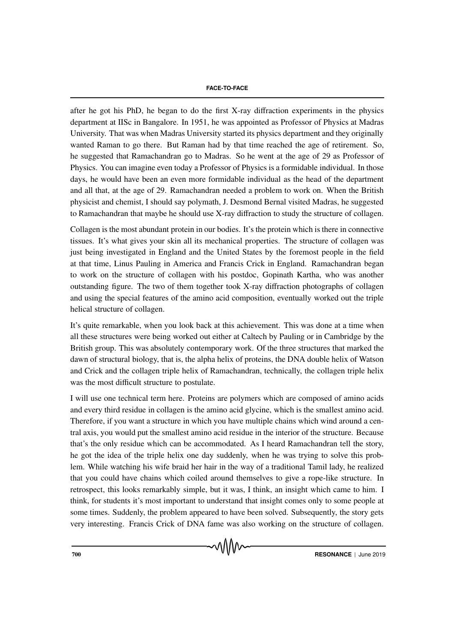after he got his PhD, he began to do the first X-ray diffraction experiments in the physics department at IISc in Bangalore. In 1951, he was appointed as Professor of Physics at Madras University. That was when Madras University started its physics department and they originally wanted Raman to go there. But Raman had by that time reached the age of retirement. So, he suggested that Ramachandran go to Madras. So he went at the age of 29 as Professor of Physics. You can imagine even today a Professor of Physics is a formidable individual. In those days, he would have been an even more formidable individual as the head of the department and all that, at the age of 29. Ramachandran needed a problem to work on. When the British physicist and chemist, I should say polymath, J. Desmond Bernal visited Madras, he suggested to Ramachandran that maybe he should use X-ray diffraction to study the structure of collagen.

Collagen is the most abundant protein in our bodies. It's the protein which is there in connective tissues. It's what gives your skin all its mechanical properties. The structure of collagen was just being investigated in England and the United States by the foremost people in the field at that time, Linus Pauling in America and Francis Crick in England. Ramachandran began to work on the structure of collagen with his postdoc, Gopinath Kartha, who was another outstanding figure. The two of them together took X-ray diffraction photographs of collagen and using the special features of the amino acid composition, eventually worked out the triple helical structure of collagen.

It's quite remarkable, when you look back at this achievement. This was done at a time when all these structures were being worked out either at Caltech by Pauling or in Cambridge by the British group. This was absolutely contemporary work. Of the three structures that marked the dawn of structural biology, that is, the alpha helix of proteins, the DNA double helix of Watson and Crick and the collagen triple helix of Ramachandran, technically, the collagen triple helix was the most difficult structure to postulate.

I will use one technical term here. Proteins are polymers which are composed of amino acids and every third residue in collagen is the amino acid glycine, which is the smallest amino acid. Therefore, if you want a structure in which you have multiple chains which wind around a central axis, you would put the smallest amino acid residue in the interior of the structure. Because that's the only residue which can be accommodated. As I heard Ramachandran tell the story, he got the idea of the triple helix one day suddenly, when he was trying to solve this problem. While watching his wife braid her hair in the way of a traditional Tamil lady, he realized that you could have chains which coiled around themselves to give a rope-like structure. In retrospect, this looks remarkably simple, but it was, I think, an insight which came to him. I think, for students it's most important to understand that insight comes only to some people at some times. Suddenly, the problem appeared to have been solved. Subsequently, the story gets very interesting. Francis Crick of DNA fame was also working on the structure of collagen.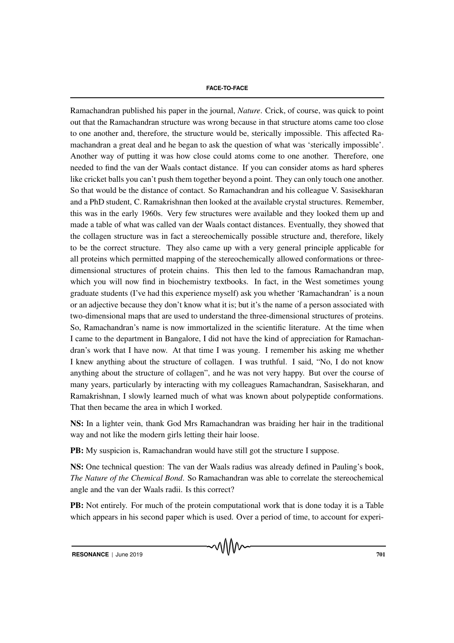Ramachandran published his paper in the journal, *Nature*. Crick, of course, was quick to point out that the Ramachandran structure was wrong because in that structure atoms came too close to one another and, therefore, the structure would be, sterically impossible. This affected Ramachandran a great deal and he began to ask the question of what was 'sterically impossible'. Another way of putting it was how close could atoms come to one another. Therefore, one needed to find the van der Waals contact distance. If you can consider atoms as hard spheres like cricket balls you can't push them together beyond a point. They can only touch one another. So that would be the distance of contact. So Ramachandran and his colleague V. Sasisekharan and a PhD student, C. Ramakrishnan then looked at the available crystal structures. Remember, this was in the early 1960s. Very few structures were available and they looked them up and made a table of what was called van der Waals contact distances. Eventually, they showed that the collagen structure was in fact a stereochemically possible structure and, therefore, likely to be the correct structure. They also came up with a very general principle applicable for all proteins which permitted mapping of the stereochemically allowed conformations or threedimensional structures of protein chains. This then led to the famous Ramachandran map, which you will now find in biochemistry textbooks. In fact, in the West sometimes young graduate students (I've had this experience myself) ask you whether 'Ramachandran' is a noun or an adjective because they don't know what it is; but it's the name of a person associated with two-dimensional maps that are used to understand the three-dimensional structures of proteins. So, Ramachandran's name is now immortalized in the scientific literature. At the time when I came to the department in Bangalore, I did not have the kind of appreciation for Ramachandran's work that I have now. At that time I was young. I remember his asking me whether I knew anything about the structure of collagen. I was truthful. I said, "No, I do not know anything about the structure of collagen", and he was not very happy. But over the course of many years, particularly by interacting with my colleagues Ramachandran, Sasisekharan, and Ramakrishnan, I slowly learned much of what was known about polypeptide conformations. That then became the area in which I worked.

NS: In a lighter vein, thank God Mrs Ramachandran was braiding her hair in the traditional way and not like the modern girls letting their hair loose.

PB: My suspicion is, Ramachandran would have still got the structure I suppose.

NS: One technical question: The van der Waals radius was already defined in Pauling's book, *The Nature of the Chemical Bond*. So Ramachandran was able to correlate the stereochemical angle and the van der Waals radii. Is this correct?

PB: Not entirely. For much of the protein computational work that is done today it is a Table which appears in his second paper which is used. Over a period of time, to account for experi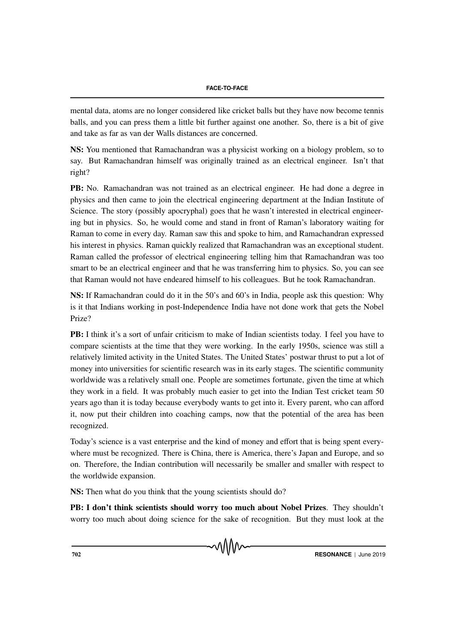mental data, atoms are no longer considered like cricket balls but they have now become tennis balls, and you can press them a little bit further against one another. So, there is a bit of give and take as far as van der Walls distances are concerned.

NS: You mentioned that Ramachandran was a physicist working on a biology problem, so to say. But Ramachandran himself was originally trained as an electrical engineer. Isn't that right?

PB: No. Ramachandran was not trained as an electrical engineer. He had done a degree in physics and then came to join the electrical engineering department at the Indian Institute of Science. The story (possibly apocryphal) goes that he wasn't interested in electrical engineering but in physics. So, he would come and stand in front of Raman's laboratory waiting for Raman to come in every day. Raman saw this and spoke to him, and Ramachandran expressed his interest in physics. Raman quickly realized that Ramachandran was an exceptional student. Raman called the professor of electrical engineering telling him that Ramachandran was too smart to be an electrical engineer and that he was transferring him to physics. So, you can see that Raman would not have endeared himself to his colleagues. But he took Ramachandran.

NS: If Ramachandran could do it in the 50's and 60's in India, people ask this question: Why is it that Indians working in post-Independence India have not done work that gets the Nobel Prize?

PB: I think it's a sort of unfair criticism to make of Indian scientists today. I feel you have to compare scientists at the time that they were working. In the early 1950s, science was still a relatively limited activity in the United States. The United States' postwar thrust to put a lot of money into universities for scientific research was in its early stages. The scientific community worldwide was a relatively small one. People are sometimes fortunate, given the time at which they work in a field. It was probably much easier to get into the Indian Test cricket team 50 years ago than it is today because everybody wants to get into it. Every parent, who can afford it, now put their children into coaching camps, now that the potential of the area has been recognized.

Today's science is a vast enterprise and the kind of money and effort that is being spent everywhere must be recognized. There is China, there is America, there's Japan and Europe, and so on. Therefore, the Indian contribution will necessarily be smaller and smaller with respect to the worldwide expansion.

NS: Then what do you think that the young scientists should do?

PB: I don't think scientists should worry too much about Nobel Prizes. They shouldn't worry too much about doing science for the sake of recognition. But they must look at the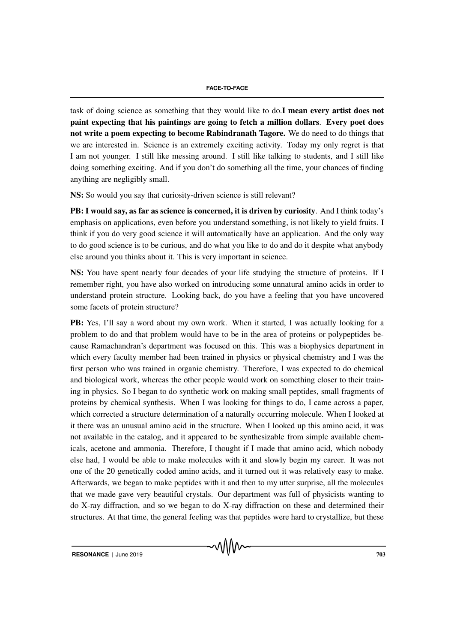task of doing science as something that they would like to do.**I mean every artist does not** paint expecting that his paintings are going to fetch a million dollars. Every poet does not write a poem expecting to become Rabindranath Tagore. We do need to do things that we are interested in. Science is an extremely exciting activity. Today my only regret is that I am not younger. I still like messing around. I still like talking to students, and I still like doing something exciting. And if you don't do something all the time, your chances of finding anything are negligibly small.

NS: So would you say that curiosity-driven science is still relevant?

PB: I would say, as far as science is concerned, it is driven by curiosity. And I think today's emphasis on applications, even before you understand something, is not likely to yield fruits. I think if you do very good science it will automatically have an application. And the only way to do good science is to be curious, and do what you like to do and do it despite what anybody else around you thinks about it. This is very important in science.

NS: You have spent nearly four decades of your life studying the structure of proteins. If I remember right, you have also worked on introducing some unnatural amino acids in order to understand protein structure. Looking back, do you have a feeling that you have uncovered some facets of protein structure?

PB: Yes, I'll say a word about my own work. When it started, I was actually looking for a problem to do and that problem would have to be in the area of proteins or polypeptides because Ramachandran's department was focused on this. This was a biophysics department in which every faculty member had been trained in physics or physical chemistry and I was the first person who was trained in organic chemistry. Therefore, I was expected to do chemical and biological work, whereas the other people would work on something closer to their training in physics. So I began to do synthetic work on making small peptides, small fragments of proteins by chemical synthesis. When I was looking for things to do, I came across a paper, which corrected a structure determination of a naturally occurring molecule. When I looked at it there was an unusual amino acid in the structure. When I looked up this amino acid, it was not available in the catalog, and it appeared to be synthesizable from simple available chemicals, acetone and ammonia. Therefore, I thought if I made that amino acid, which nobody else had, I would be able to make molecules with it and slowly begin my career. It was not one of the 20 genetically coded amino acids, and it turned out it was relatively easy to make. Afterwards, we began to make peptides with it and then to my utter surprise, all the molecules that we made gave very beautiful crystals. Our department was full of physicists wanting to do X-ray diffraction, and so we began to do X-ray diffraction on these and determined their structures. At that time, the general feeling was that peptides were hard to crystallize, but these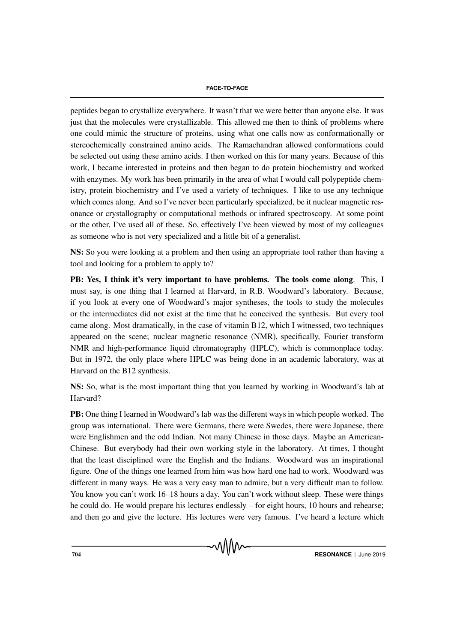peptides began to crystallize everywhere. It wasn't that we were better than anyone else. It was just that the molecules were crystallizable. This allowed me then to think of problems where one could mimic the structure of proteins, using what one calls now as conformationally or stereochemically constrained amino acids. The Ramachandran allowed conformations could be selected out using these amino acids. I then worked on this for many years. Because of this work, I became interested in proteins and then began to do protein biochemistry and worked with enzymes. My work has been primarily in the area of what I would call polypeptide chemistry, protein biochemistry and I've used a variety of techniques. I like to use any technique which comes along. And so I've never been particularly specialized, be it nuclear magnetic resonance or crystallography or computational methods or infrared spectroscopy. At some point or the other, I've used all of these. So, effectively I've been viewed by most of my colleagues as someone who is not very specialized and a little bit of a generalist.

NS: So you were looking at a problem and then using an appropriate tool rather than having a tool and looking for a problem to apply to?

PB: Yes, I think it's very important to have problems. The tools come along. This, I must say, is one thing that I learned at Harvard, in R.B. Woodward's laboratory. Because, if you look at every one of Woodward's major syntheses, the tools to study the molecules or the intermediates did not exist at the time that he conceived the synthesis. But every tool came along. Most dramatically, in the case of vitamin B12, which I witnessed, two techniques appeared on the scene; nuclear magnetic resonance (NMR), specifically, Fourier transform NMR and high-performance liquid chromatography (HPLC), which is commonplace today. But in 1972, the only place where HPLC was being done in an academic laboratory, was at Harvard on the B12 synthesis.

NS: So, what is the most important thing that you learned by working in Woodward's lab at Harvard?

PB: One thing I learned in Woodward's lab was the different ways in which people worked. The group was international. There were Germans, there were Swedes, there were Japanese, there were Englishmen and the odd Indian. Not many Chinese in those days. Maybe an American-Chinese. But everybody had their own working style in the laboratory. At times, I thought that the least disciplined were the English and the Indians. Woodward was an inspirational figure. One of the things one learned from him was how hard one had to work. Woodward was different in many ways. He was a very easy man to admire, but a very difficult man to follow. You know you can't work 16–18 hours a day. You can't work without sleep. These were things he could do. He would prepare his lectures endlessly – for eight hours, 10 hours and rehearse; and then go and give the lecture. His lectures were very famous. I've heard a lecture which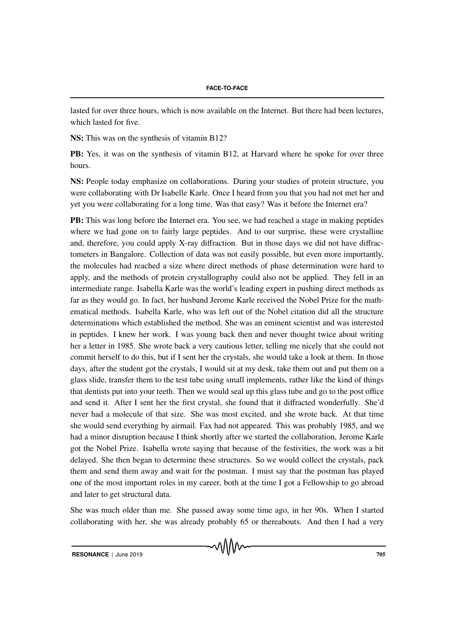lasted for over three hours, which is now available on the Internet. But there had been lectures, which lasted for five.

NS: This was on the synthesis of vitamin B12?

PB: Yes, it was on the synthesis of vitamin B12, at Harvard where he spoke for over three hours.

NS: People today emphasize on collaborations. During your studies of protein structure, you were collaborating with Dr Isabelle Karle. Once I heard from you that you had not met her and yet you were collaborating for a long time. Was that easy? Was it before the Internet era?

PB: This was long before the Internet era. You see, we had reached a stage in making peptides where we had gone on to fairly large peptides. And to our surprise, these were crystalline and, therefore, you could apply X-ray diffraction. But in those days we did not have diffractometers in Bangalore. Collection of data was not easily possible, but even more importantly, the molecules had reached a size where direct methods of phase determination were hard to apply, and the methods of protein crystallography could also not be applied. They fell in an intermediate range. Isabella Karle was the world's leading expert in pushing direct methods as far as they would go. In fact, her husband Jerome Karle received the Nobel Prize for the mathematical methods. Isabella Karle, who was left out of the Nobel citation did all the structure determinations which established the method. She was an eminent scientist and was interested in peptides. I knew her work. I was young back then and never thought twice about writing her a letter in 1985. She wrote back a very cautious letter, telling me nicely that she could not commit herself to do this, but if I sent her the crystals, she would take a look at them. In those days, after the student got the crystals, I would sit at my desk, take them out and put them on a glass slide, transfer them to the test tube using small implements, rather like the kind of things that dentists put into your teeth. Then we would seal up this glass tube and go to the post office and send it. After I sent her the first crystal, she found that it diffracted wonderfully. She'd never had a molecule of that size. She was most excited, and she wrote back. At that time she would send everything by airmail. Fax had not appeared. This was probably 1985, and we had a minor disruption because I think shortly after we started the collaboration, Jerome Karle got the Nobel Prize. Isabella wrote saying that because of the festivities, the work was a bit delayed. She then began to determine these structures. So we would collect the crystals, pack them and send them away and wait for the postman. I must say that the postman has played one of the most important roles in my career, both at the time I got a Fellowship to go abroad and later to get structural data.

She was much older than me. She passed away some time ago, in her 90s. When I started collaborating with her, she was already probably 65 or thereabouts. And then I had a very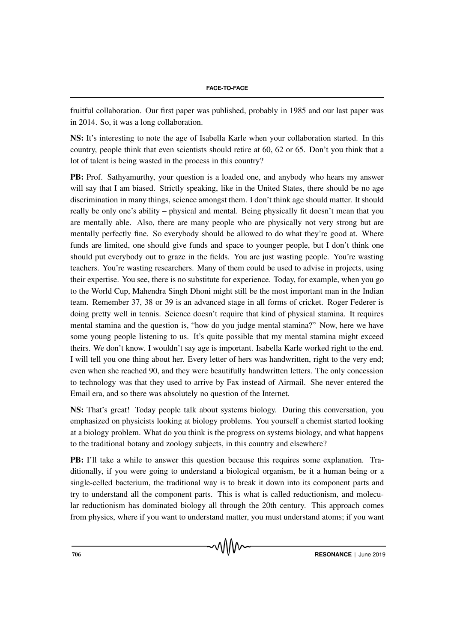fruitful collaboration. Our first paper was published, probably in 1985 and our last paper was in 2014. So, it was a long collaboration.

NS: It's interesting to note the age of Isabella Karle when your collaboration started. In this country, people think that even scientists should retire at 60, 62 or 65. Don't you think that a lot of talent is being wasted in the process in this country?

PB: Prof. Sathyamurthy, your question is a loaded one, and anybody who hears my answer will say that I am biased. Strictly speaking, like in the United States, there should be no age discrimination in many things, science amongst them. I don't think age should matter. It should really be only one's ability – physical and mental. Being physically fit doesn't mean that you are mentally able. Also, there are many people who are physically not very strong but are mentally perfectly fine. So everybody should be allowed to do what they're good at. Where funds are limited, one should give funds and space to younger people, but I don't think one should put everybody out to graze in the fields. You are just wasting people. You're wasting teachers. You're wasting researchers. Many of them could be used to advise in projects, using their expertise. You see, there is no substitute for experience. Today, for example, when you go to the World Cup, Mahendra Singh Dhoni might still be the most important man in the Indian team. Remember 37, 38 or 39 is an advanced stage in all forms of cricket. Roger Federer is doing pretty well in tennis. Science doesn't require that kind of physical stamina. It requires mental stamina and the question is, "how do you judge mental stamina?" Now, here we have some young people listening to us. It's quite possible that my mental stamina might exceed theirs. We don't know. I wouldn't say age is important. Isabella Karle worked right to the end. I will tell you one thing about her. Every letter of hers was handwritten, right to the very end; even when she reached 90, and they were beautifully handwritten letters. The only concession to technology was that they used to arrive by Fax instead of Airmail. She never entered the Email era, and so there was absolutely no question of the Internet.

NS: That's great! Today people talk about systems biology. During this conversation, you emphasized on physicists looking at biology problems. You yourself a chemist started looking at a biology problem. What do you think is the progress on systems biology, and what happens to the traditional botany and zoology subjects, in this country and elsewhere?

PB: I'll take a while to answer this question because this requires some explanation. Traditionally, if you were going to understand a biological organism, be it a human being or a single-celled bacterium, the traditional way is to break it down into its component parts and try to understand all the component parts. This is what is called reductionism, and molecular reductionism has dominated biology all through the 20th century. This approach comes from physics, where if you want to understand matter, you must understand atoms; if you want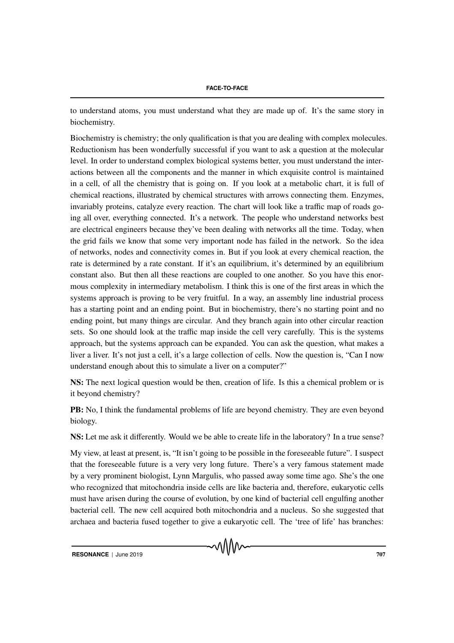to understand atoms, you must understand what they are made up of. It's the same story in biochemistry.

Biochemistry is chemistry; the only qualification is that you are dealing with complex molecules. Reductionism has been wonderfully successful if you want to ask a question at the molecular level. In order to understand complex biological systems better, you must understand the interactions between all the components and the manner in which exquisite control is maintained in a cell, of all the chemistry that is going on. If you look at a metabolic chart, it is full of chemical reactions, illustrated by chemical structures with arrows connecting them. Enzymes, invariably proteins, catalyze every reaction. The chart will look like a traffic map of roads going all over, everything connected. It's a network. The people who understand networks best are electrical engineers because they've been dealing with networks all the time. Today, when the grid fails we know that some very important node has failed in the network. So the idea of networks, nodes and connectivity comes in. But if you look at every chemical reaction, the rate is determined by a rate constant. If it's an equilibrium, it's determined by an equilibrium constant also. But then all these reactions are coupled to one another. So you have this enormous complexity in intermediary metabolism. I think this is one of the first areas in which the systems approach is proving to be very fruitful. In a way, an assembly line industrial process has a starting point and an ending point. But in biochemistry, there's no starting point and no ending point, but many things are circular. And they branch again into other circular reaction sets. So one should look at the traffic map inside the cell very carefully. This is the systems approach, but the systems approach can be expanded. You can ask the question, what makes a liver a liver. It's not just a cell, it's a large collection of cells. Now the question is, "Can I now understand enough about this to simulate a liver on a computer?"

NS: The next logical question would be then, creation of life. Is this a chemical problem or is it beyond chemistry?

PB: No, I think the fundamental problems of life are beyond chemistry. They are even beyond biology.

NS: Let me ask it differently. Would we be able to create life in the laboratory? In a true sense?

My view, at least at present, is, "It isn't going to be possible in the foreseeable future". I suspect that the foreseeable future is a very very long future. There's a very famous statement made by a very prominent biologist, Lynn Margulis, who passed away some time ago. She's the one who recognized that mitochondria inside cells are like bacteria and, therefore, eukaryotic cells must have arisen during the course of evolution, by one kind of bacterial cell engulfing another bacterial cell. The new cell acquired both mitochondria and a nucleus. So she suggested that archaea and bacteria fused together to give a eukaryotic cell. The 'tree of life' has branches: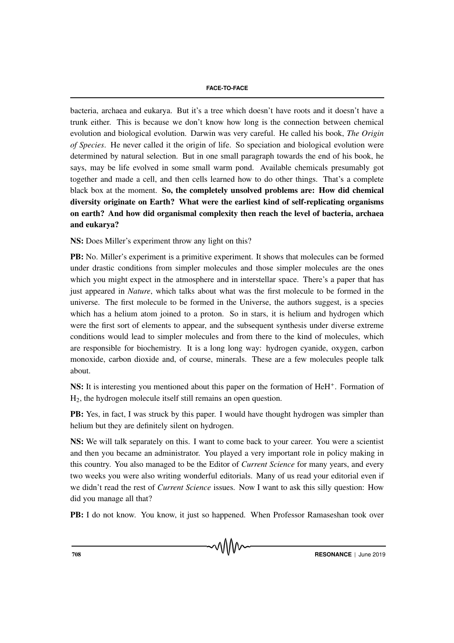bacteria, archaea and eukarya. But it's a tree which doesn't have roots and it doesn't have a trunk either. This is because we don't know how long is the connection between chemical evolution and biological evolution. Darwin was very careful. He called his book, *The Origin of Species*. He never called it the origin of life. So speciation and biological evolution were determined by natural selection. But in one small paragraph towards the end of his book, he says, may be life evolved in some small warm pond. Available chemicals presumably got together and made a cell, and then cells learned how to do other things. That's a complete black box at the moment. So, the completely unsolved problems are: How did chemical diversity originate on Earth? What were the earliest kind of self-replicating organisms on earth? And how did organismal complexity then reach the level of bacteria, archaea and eukarya?

NS: Does Miller's experiment throw any light on this?

PB: No. Miller's experiment is a primitive experiment. It shows that molecules can be formed under drastic conditions from simpler molecules and those simpler molecules are the ones which you might expect in the atmosphere and in interstellar space. There's a paper that has just appeared in *Nature*, which talks about what was the first molecule to be formed in the universe. The first molecule to be formed in the Universe, the authors suggest, is a species which has a helium atom joined to a proton. So in stars, it is helium and hydrogen which were the first sort of elements to appear, and the subsequent synthesis under diverse extreme conditions would lead to simpler molecules and from there to the kind of molecules, which are responsible for biochemistry. It is a long long way: hydrogen cyanide, oxygen, carbon monoxide, carbon dioxide and, of course, minerals. These are a few molecules people talk about.

NS: It is interesting you mentioned about this paper on the formation of HeH+. Formation of H2, the hydrogen molecule itself still remains an open question.

PB: Yes, in fact, I was struck by this paper. I would have thought hydrogen was simpler than helium but they are definitely silent on hydrogen.

NS: We will talk separately on this. I want to come back to your career. You were a scientist and then you became an administrator. You played a very important role in policy making in this country. You also managed to be the Editor of *Current Science* for many years, and every two weeks you were also writing wonderful editorials. Many of us read your editorial even if we didn't read the rest of *Current Science* issues. Now I want to ask this silly question: How did you manage all that?

PB: I do not know. You know, it just so happened. When Professor Ramaseshan took over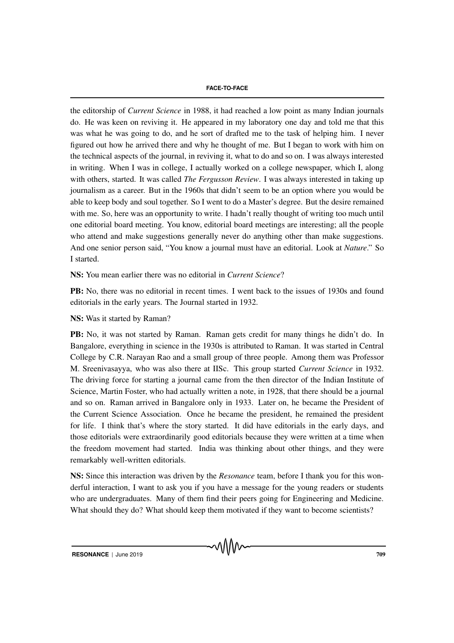## **FACE-TO-FACE**

the editorship of *Current Science* in 1988, it had reached a low point as many Indian journals do. He was keen on reviving it. He appeared in my laboratory one day and told me that this was what he was going to do, and he sort of drafted me to the task of helping him. I never figured out how he arrived there and why he thought of me. But I began to work with him on the technical aspects of the journal, in reviving it, what to do and so on. I was always interested in writing. When I was in college, I actually worked on a college newspaper, which I, along with others, started. It was called *The Fergusson Review*. I was always interested in taking up journalism as a career. But in the 1960s that didn't seem to be an option where you would be able to keep body and soul together. So I went to do a Master's degree. But the desire remained with me. So, here was an opportunity to write. I hadn't really thought of writing too much until one editorial board meeting. You know, editorial board meetings are interesting; all the people who attend and make suggestions generally never do anything other than make suggestions. And one senior person said, "You know a journal must have an editorial. Look at *Nature*." So I started.

NS: You mean earlier there was no editorial in *Current Science*?

PB: No, there was no editorial in recent times. I went back to the issues of 1930s and found editorials in the early years. The Journal started in 1932.

NS: Was it started by Raman?

PB: No, it was not started by Raman. Raman gets credit for many things he didn't do. In Bangalore, everything in science in the 1930s is attributed to Raman. It was started in Central College by C.R. Narayan Rao and a small group of three people. Among them was Professor M. Sreenivasayya, who was also there at IISc. This group started *Current Science* in 1932. The driving force for starting a journal came from the then director of the Indian Institute of Science, Martin Foster, who had actually written a note, in 1928, that there should be a journal and so on. Raman arrived in Bangalore only in 1933. Later on, he became the President of the Current Science Association. Once he became the president, he remained the president for life. I think that's where the story started. It did have editorials in the early days, and those editorials were extraordinarily good editorials because they were written at a time when the freedom movement had started. India was thinking about other things, and they were remarkably well-written editorials.

NS: Since this interaction was driven by the *Resonance* team, before I thank you for this wonderful interaction, I want to ask you if you have a message for the young readers or students who are undergraduates. Many of them find their peers going for Engineering and Medicine. What should they do? What should keep them motivated if they want to become scientists?